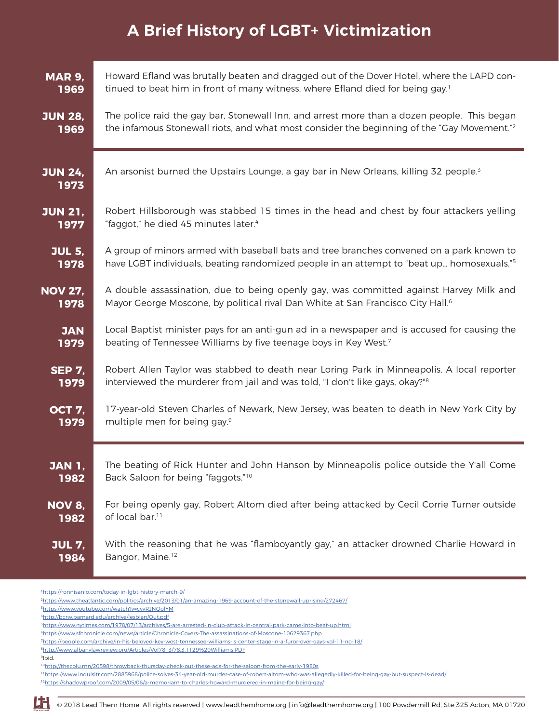## **A Brief History of LGBT+ Victimization**

| <b>MAR 9,</b>          | Howard Efland was brutally beaten and dragged out of the Dover Hotel, where the LAPD con-              |
|------------------------|--------------------------------------------------------------------------------------------------------|
| 1969                   | tinued to beat him in front of many witness, where Efland died for being gay. <sup>1</sup>             |
| <b>JUN 28,</b>         | The police raid the gay bar, Stonewall Inn, and arrest more than a dozen people. This began            |
| 1969                   | the infamous Stonewall riots, and what most consider the beginning of the "Gay Movement." <sup>2</sup> |
| <b>JUN 24,</b><br>1973 | An arsonist burned the Upstairs Lounge, a gay bar in New Orleans, killing 32 people. <sup>3</sup>      |
| <b>JUN 21,</b>         | Robert Hillsborough was stabbed 15 times in the head and chest by four attackers yelling               |
| 1977                   | "faggot," he died 45 minutes later. <sup>4</sup>                                                       |
| <b>JUL 5,</b>          | A group of minors armed with baseball bats and tree branches convened on a park known to               |
| 1978                   | have LGBT individuals, beating randomized people in an attempt to "beat up homosexuals." <sup>5</sup>  |
| <b>NOV 27,</b>         | A double assassination, due to being openly gay, was committed against Harvey Milk and                 |
| 1978                   | Mayor George Moscone, by political rival Dan White at San Francisco City Hall. <sup>6</sup>            |
| <b>JAN</b>             | Local Baptist minister pays for an anti-gun ad in a newspaper and is accused for causing the           |
| 1979                   | beating of Tennessee Williams by five teenage boys in Key West.7                                       |
| <b>SEP 7,</b>          | Robert Allen Taylor was stabbed to death near Loring Park in Minneapolis. A local reporter             |
| 1979                   | interviewed the murderer from jail and was told, "I don't like gays, okay?" <sup>8</sup>               |
| <b>OCT 7,</b>          | 17-year-old Steven Charles of Newark, New Jersey, was beaten to death in New York City by              |
| 1979                   | multiple men for being gay. <sup>9</sup>                                                               |
| <b>JAN 1,</b>          | The beating of Rick Hunter and John Hanson by Minneapolis police outside the Y'all Come                |
| 1982                   | Back Saloon for being "faggots." <sup>10</sup>                                                         |
| NOV 8,                 | For being openly gay, Robert Altom died after being attacked by Cecil Corrie Turner outside            |
| 1982                   | of local bar. <sup>11</sup>                                                                            |
| <b>JUL 7,</b>          | With the reasoning that he was "flamboyantly gay," an attacker drowned Charlie Howard in               |
| 1984                   | Bangor, Maine. <sup>12</sup>                                                                           |

<sup>1</sup><https://ronnisanlo.com/today-in-lgbt-history-march-9/>

<sup>2</sup><https://www.theatlantic.com/politics/archive/2013/01/an-amazing-1969-account-of-the-stonewall-uprising/272467/>

<sup>3</sup><https://www.youtube.com/watch?v=cvvRJNQolYM>

<sup>4</sup><http://bcrw.barnard.edu/archive/lesbian/Out.pdf>

<sup>5</sup><https://www.nytimes.com/1978/07/13/archives/5-are-arrested-in-club-attack-in-central-park-came-into-beat-up.html>

<sup>6</sup><https://www.sfchronicle.com/news/article/Chronicle-Covers-The-assassinations-of-Moscone-10629367.php>

<sup>7</sup><https://people.com/archive/in-his-beloved-key-west-tennessee-williams-is-center-stage-in-a-furor-over-gays-vol-11-no-18/>

<sup>8</sup>[http://www.albanylawreview.org/Articles/Vol78\\_3/78.3.1129%20Williams.PDF](http://www.albanylawreview.org/Articles/Vol78_3/78.3.1129%20Williams.PDF)

<sup>9</sup>Ibid.

<sup>10</sup><http://thecolu.mn/20598/throwback-thursday-check-out-these-ads-for-the-saloon-from-the-early-1980s>

<sup>11</sup><https://www.inquisitr.com/2885968/police-solves-34-year-old-murder-case-of-robert-altom-who-was-allegedly-killed-for-being-gay-but-suspect-is-dead/>

<sup>12</sup><https://shadowproof.com/2009/05/06/a-memoriam-to-charles-howard-murdered-in-maine-for-being-gay/>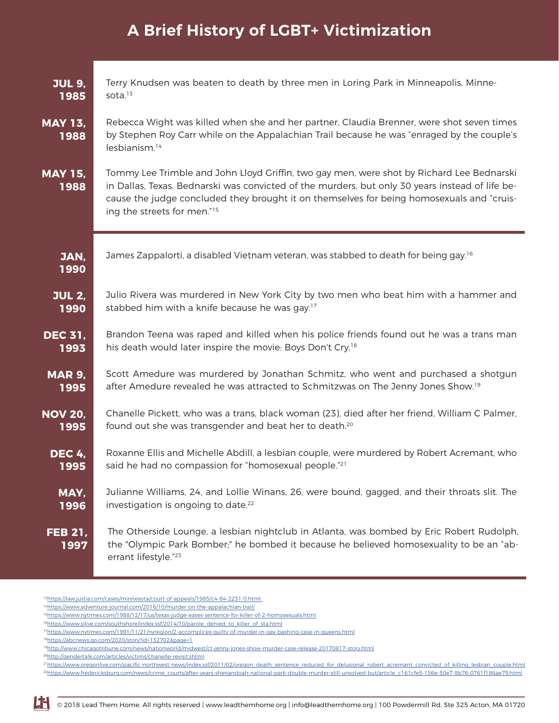## **A Brief History of LGBT+ Victimization**

| <b>JUL 9,</b>          | Terry Knudsen was beaten to death by three men in Loring Park in Minneapolis, Minne-                                                                                                                                                                                                                                                 |
|------------------------|--------------------------------------------------------------------------------------------------------------------------------------------------------------------------------------------------------------------------------------------------------------------------------------------------------------------------------------|
| 1985                   | sota. $13$                                                                                                                                                                                                                                                                                                                           |
| <b>MAY 13,</b><br>1988 | Rebecca Wight was killed when she and her partner, Claudia Brenner, were shot seven times<br>by Stephen Roy Carr while on the Appalachian Trail because he was "enraged by the couple's<br>lesbianism. <sup>14</sup>                                                                                                                 |
| <b>MAY 15,</b><br>1988 | Tommy Lee Trimble and John Lloyd Griffin, two gay men, were shot by Richard Lee Bednarski<br>in Dallas, Texas. Bednarski was convicted of the murders, but only 30 years instead of life be-<br>cause the judge concluded they brought it on themselves for being homosexuals and "cruis-<br>ing the streets for men." <sup>15</sup> |
| JAN,<br>1990           | James Zappalorti, a disabled Vietnam veteran, was stabbed to death for being gay. <sup>16</sup>                                                                                                                                                                                                                                      |
| <b>JUL 2,</b>          | Julio Rivera was murdered in New York City by two men who beat him with a hammer and                                                                                                                                                                                                                                                 |
| 1990                   | stabbed him with a knife because he was gay. <sup>17</sup>                                                                                                                                                                                                                                                                           |
| <b>DEC 31,</b>         | Brandon Teena was raped and killed when his police friends found out he was a trans man                                                                                                                                                                                                                                              |
| 1993                   | his death would later inspire the movie: Boys Don't Cry. <sup>18</sup>                                                                                                                                                                                                                                                               |
| <b>MAR 9,</b>          | Scott Amedure was murdered by Jonathan Schmitz, who went and purchased a shotgun                                                                                                                                                                                                                                                     |
| 1995                   | after Amedure revealed he was attracted to Schmitzwas on The Jenny Jones Show. <sup>19</sup>                                                                                                                                                                                                                                         |
| <b>NOV 20,</b>         | Chanelle Pickett, who was a trans, black woman (23), died after her friend, William C Palmer,                                                                                                                                                                                                                                        |
| 1995                   | found out she was transgender and beat her to death. <sup>20</sup>                                                                                                                                                                                                                                                                   |
| <b>DEC 4,</b>          | Roxanne Ellis and Michelle Abdill, a lesbian couple, were murdered by Robert Acremant, who                                                                                                                                                                                                                                           |
| 1995                   | said he had no compassion for "homosexual people." <sup>21</sup>                                                                                                                                                                                                                                                                     |
| MAY,                   | Julianne Williams, 24, and Lollie Winans, 26, were bound, gagged, and their throats slit. The                                                                                                                                                                                                                                        |
| 1996                   | investigation is ongoing to date. <sup>22</sup>                                                                                                                                                                                                                                                                                      |
| <b>FEB 21,</b><br>1997 | The Otherside Lounge, a lesbian nightclub in Atlanta, was bombed by Eric Robert Rudolph,<br>the "Olympic Park Bomber;" he bombed it because he believed homosexuality to be an "ab-<br>errant lifestyle."23                                                                                                                          |

13<https://law.justia.com/cases/minnesota/court-of-appeals/1985/c4-84-2231-0.html>

18<https://abcnews.go.com/2020/story?id=132702&page=1>

20<http://gendertalk.com/articles/victims/chanelle-revisit.shtml>

<sup>&</sup>lt;sup>21</sup>[https://www.oregonlive.com/pacific-northwest-news/index.ssf/2011/02/oregon\\_death\\_sentence\\_reduced\\_for\\_delusional\\_robert\\_acremant\\_convicted\\_of\\_killing\\_lesbian\\_couple.html](https://www.oregonlive.com/pacific-northwest-news/index.ssf/2011/02/oregon_death_sentence_reduced_for_delusional_robert_acremant_convicted_of_killing_lesbian_couple.html) 22[https://www.fredericksburg.com/news/crime\\_courts/after-years-shenandoah-national-park-double-murder-still-unsolved-but/article\\_c161cfe5-156e-50e7-8b76-0761f186ae79.html](https://www.fredericksburg.com/news/crime_courts/after-years-shenandoah-national-park-double-murder-still-unsolved-but/article_c161cfe5-156e-50e7-8b76-0761f186ae79.html)



<sup>14</sup><https://www.adventure-journal.com/2016/10/murder-on-the-appalachian-trail/>

<sup>15</sup><https://www.nytimes.com/1988/12/17/us/texas-judge-eases-sentence-for-killer-of-2-homosexuals.html>

<sup>&</sup>lt;sup>16</sup>[https://www.silive.com/southshore/index.ssf/2014/10/parole\\_denied\\_to\\_killer\\_of\\_sta.html](https://www.silive.com/southshore/index.ssf/2014/10/parole_denied_to_killer_of_sta.html)

<sup>17</sup><https://www.nytimes.com/1991/11/21/nyregion/2-accomplices-guilty-of-murder-in-gay-bashing-case-in-queens.html>

<sup>19</sup><http://www.chicagotribune.com/news/nationworld/midwest/ct-jenny-jones-show-murder-case-release-20170817-story.html>